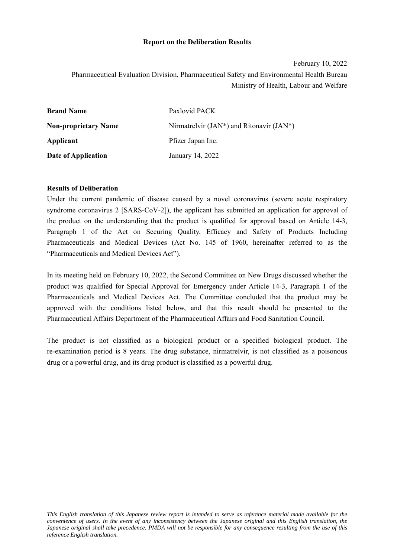#### **Report on the Deliberation Results**

February 10, 2022 Pharmaceutical Evaluation Division, Pharmaceutical Safety and Environmental Health Bureau Ministry of Health, Labour and Welfare

| <b>Brand Name</b>           | Paxlovid PACK                               |
|-----------------------------|---------------------------------------------|
| <b>Non-proprietary Name</b> | Nirmatrelvir (JAN*) and Ritonavir $(JAN^*)$ |
| Applicant                   | Pfizer Japan Inc.                           |
| Date of Application         | January 14, 2022                            |

#### **Results of Deliberation**

Under the current pandemic of disease caused by a novel coronavirus (severe acute respiratory syndrome coronavirus 2 [SARS-CoV-2]), the applicant has submitted an application for approval of the product on the understanding that the product is qualified for approval based on Article 14-3, Paragraph 1 of the Act on Securing Quality, Efficacy and Safety of Products Including Pharmaceuticals and Medical Devices (Act No. 145 of 1960, hereinafter referred to as the "Pharmaceuticals and Medical Devices Act").

In its meeting held on February 10, 2022, the Second Committee on New Drugs discussed whether the product was qualified for Special Approval for Emergency under Article 14-3, Paragraph 1 of the Pharmaceuticals and Medical Devices Act. The Committee concluded that the product may be approved with the conditions listed below, and that this result should be presented to the Pharmaceutical Affairs Department of the Pharmaceutical Affairs and Food Sanitation Council.

The product is not classified as a biological product or a specified biological product. The re-examination period is 8 years. The drug substance, nirmatrelvir, is not classified as a poisonous drug or a powerful drug, and its drug product is classified as a powerful drug.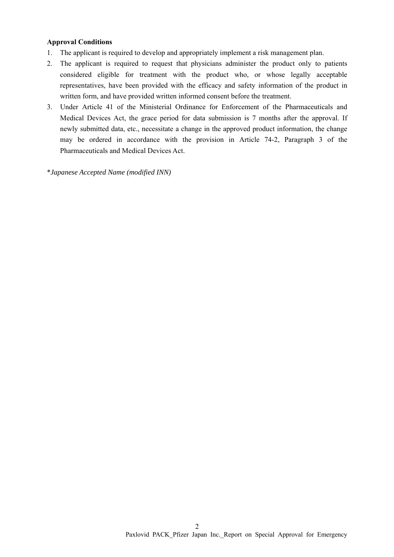#### **Approval Conditions**

- 1. The applicant is required to develop and appropriately implement a risk management plan.
- 2. The applicant is required to request that physicians administer the product only to patients considered eligible for treatment with the product who, or whose legally acceptable representatives, have been provided with the efficacy and safety information of the product in written form, and have provided written informed consent before the treatment.
- 3. Under Article 41 of the Ministerial Ordinance for Enforcement of the Pharmaceuticals and Medical Devices Act, the grace period for data submission is 7 months after the approval. If newly submitted data, etc., necessitate a change in the approved product information, the change may be ordered in accordance with the provision in Article 74-2, Paragraph 3 of the Pharmaceuticals and Medical Devices Act.

\**Japanese Accepted Name (modified INN)*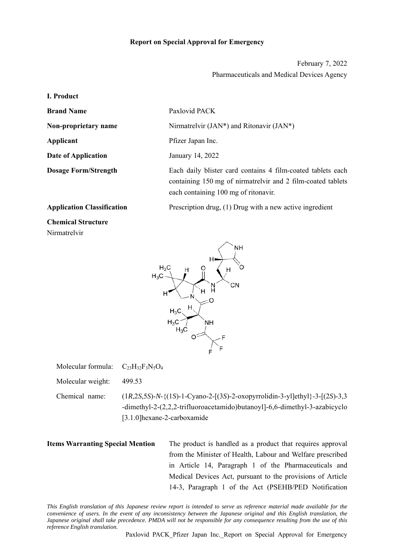#### **Report on Special Approval for Emergency**

February 7, 2022 Pharmaceuticals and Medical Devices Agency

**I. Product** 

**Brand Name** Paxlovid PACK

**Date of Application** January 14, 2022

**Non-proprietary name** Nirmatrelvir (JAN\*) and Ritonavir (JAN\*) **Applicant** Pfizer Japan Inc. **Dosage Form/Strength** Each daily blister card contains 4 film-coated tablets each containing 150 mg of nirmatrelvir and 2 film-coated tablets each containing 100 mg of ritonavir.

**Application Classification** Prescription drug, (1) Drug with a new active ingredient

**Chemical Structure** Nirmatrelvir



Molecular formula:  $C_{23}H_{32}F_3N_5O_4$ 

Molecular weight: 499.53

Chemical name: (1*R*,2*S*,5*S*)-*N*-{(1*S*)-1-Cyano-2-[(3*S*)-2-oxopyrrolidin-3-yl]ethyl}-3-[(2*S*)-3,3 -dimethyl-2-(2,2,2-trifluoroacetamido)butanoyl]-6,6-dimethyl-3-azabicyclo [3.1.0]hexane-2-carboxamide

**Items Warranting Special Mention** The product is handled as a product that requires approval from the Minister of Health, Labour and Welfare prescribed in Article 14, Paragraph 1 of the Pharmaceuticals and Medical Devices Act, pursuant to the provisions of Article 14-3, Paragraph 1 of the Act (PSEHB/PED Notification

*This English translation of this Japanese review report is intended to serve as reference material made available for the convenience of users. In the event of any inconsistency between the Japanese original and this English translation, the Japanese original shall take precedence. PMDA will not be responsible for any consequence resulting from the use of this reference English translation.*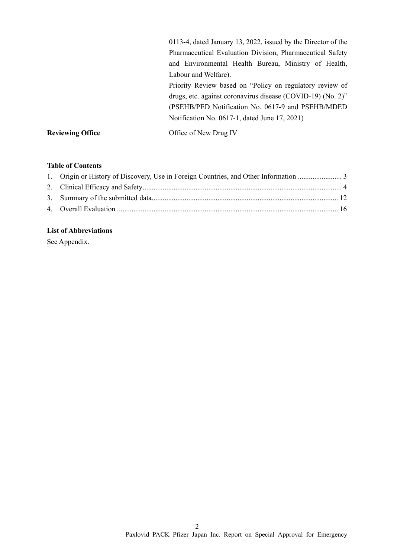|                         | 0113-4, dated January 13, 2022, issued by the Director of the                                                                                                                |  |  |  |
|-------------------------|------------------------------------------------------------------------------------------------------------------------------------------------------------------------------|--|--|--|
|                         | Pharmaceutical Evaluation Division, Pharmaceutical Safety                                                                                                                    |  |  |  |
|                         | and Environmental Health Bureau, Ministry of Health,                                                                                                                         |  |  |  |
|                         | Labour and Welfare).                                                                                                                                                         |  |  |  |
|                         | Priority Review based on "Policy on regulatory review of<br>drugs, etc. against coronavirus disease (COVID-19) (No. 2)"<br>(PSEHB/PED Notification No. 0617-9 and PSEHB/MDED |  |  |  |
|                         |                                                                                                                                                                              |  |  |  |
|                         |                                                                                                                                                                              |  |  |  |
|                         | Notification No. 0617-1, dated June 17, 2021)                                                                                                                                |  |  |  |
| <b>Reviewing Office</b> | Office of New Drug IV                                                                                                                                                        |  |  |  |

# **Table of Contents**

# **List of Abbreviations**

See Appendix.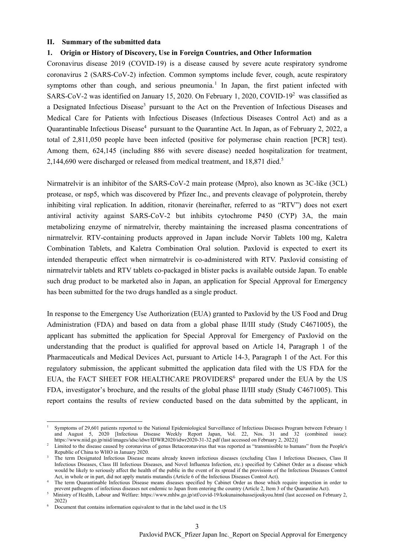#### **II. Summary of the submitted data**

#### **1. Origin or History of Discovery, Use in Foreign Countries, and Other Information**

Coronavirus disease 2019 (COVID-19) is a disease caused by severe acute respiratory syndrome coronavirus 2 (SARS-CoV-2) infection. Common symptoms include fever, cough, acute respiratory symptoms other than cough, and serious pneumonia.<sup>1</sup> In Japan, the first patient infected with SARS-CoV-2 was identified on January 15, 2020. On February 1, 2020, COVID-19<sup>2</sup> was classified as a Designated Infectious Disease<sup>3</sup> pursuant to the Act on the Prevention of Infectious Diseases and Medical Care for Patients with Infectious Diseases (Infectious Diseases Control Act) and as a Quarantinable Infectious Disease<sup>4</sup> pursuant to the Quarantine Act. In Japan, as of February 2, 2022, a total of 2,811,050 people have been infected (positive for polymerase chain reaction [PCR] test). Among them, 624,145 (including 886 with severe disease) needed hospitalization for treatment, 2,144,690 were discharged or released from medical treatment, and 18,871 died.<sup>5</sup>

Nirmatrelvir is an inhibitor of the SARS‑CoV-2 main protease (Mpro), also known as 3C-like (3CL) protease, or nsp5, which was discovered by Pfizer Inc., and prevents cleavage of polyprotein, thereby inhibiting viral replication. In addition, ritonavir (hereinafter, referred to as "RTV") does not exert antiviral activity against SARS-CoV-2 but inhibits cytochrome P450 (CYP) 3A, the main metabolizing enzyme of nirmatrelvir, thereby maintaining the increased plasma concentrations of nirmatrelvir. RTV-containing products approved in Japan include Norvir Tablets 100 mg, Kaletra Combination Tablets, and Kaletra Combination Oral solution. Paxlovid is expected to exert its intended therapeutic effect when nirmatrelvir is co-administered with RTV. Paxlovid consisting of nirmatrelvir tablets and RTV tablets co-packaged in blister packs is available outside Japan. To enable such drug product to be marketed also in Japan, an application for Special Approval for Emergency has been submitted for the two drugs handled as a single product.

In response to the Emergency Use Authorization (EUA) granted to Paxlovid by the US Food and Drug Administration (FDA) and based on data from a global phase II/III study (Study C4671005), the applicant has submitted the application for Special Approval for Emergency of Paxlovid on the understanding that the product is qualified for approval based on Article 14, Paragraph 1 of the Pharmaceuticals and Medical Devices Act, pursuant to Article 14-3, Paragraph 1 of the Act. For this regulatory submission, the applicant submitted the application data filed with the US FDA for the EUA, the FACT SHEET FOR HEALTHCARE PROVIDERS<sup>6</sup> prepared under the EUA by the US FDA, investigator's brochure, and the results of the global phase II/III study (Study C4671005). This report contains the results of review conducted based on the data submitted by the applicant, in

l

<sup>1</sup> Symptoms of 29,601 patients reported to the National Epidemiological Surveillance of Infectious Diseases Program between February 1 and August 5, 2020 [Infectious Disease Weekly Report Japan, Vol. 22, Nos. 31 and 32 (combined issue): https://www.niid.go.jp/niid/images/idsc/idwr/IDWR2020/idwr2020-31-32.pdf (last accessed on February 2, 2022)]

<sup>&</sup>lt;sup>2</sup> Limited to the disease caused by coronavirus of genus Betacoronavirus that was reported as "transmissible to humans" from the People's Republic of China to WHO in January 2020.

<sup>&</sup>lt;sup>3</sup> The term Designated Infectious Disease means already known infectious diseases (excluding Class I Infectious Diseases, Class II Infectious Diseases, Class III Infectious Diseases, and Novel Influenza Infection, etc.) specified by Cabinet Order as a disease which would be likely to seriously affect the health of the public in the event of its spread if the provisions of the Infectious Diseases Control Act, in whole or in part, did not apply mutatis mutandis (Article 6 of the Infectious Diseases Control Act). 4

<sup>&</sup>lt;sup>4</sup> The term Quarantinable Infectious Disease means diseases specified by Cabinet Order as those which require inspection in order to prevent pathogens of infectious diseases not endemic to Japan from entering the country (Article 2, Item 3 of the Quarantine Act).

Ministry of Health, Labour and Welfare: https://www.mhlw.go.jp/stf/covid-19/kokunainohasseijoukyou.html (last accessed on February 2, 2022)<br>
<sup>6</sup> Document that contains information equivalent to that in the label used in the US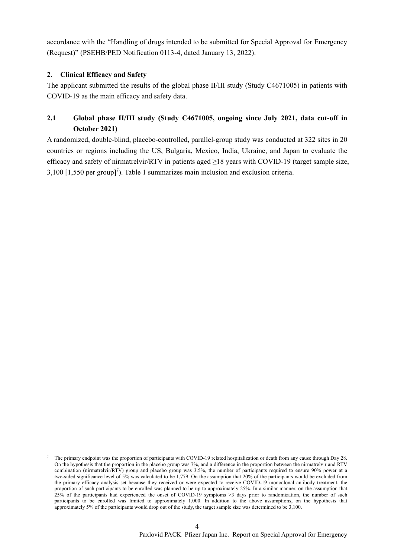accordance with the "Handling of drugs intended to be submitted for Special Approval for Emergency (Request)" (PSEHB/PED Notification 0113-4, dated January 13, 2022).

## **2. Clinical Efficacy and Safety**

l

The applicant submitted the results of the global phase II/III study (Study C4671005) in patients with COVID-19 as the main efficacy and safety data.

# **2.1 Global phase II/III study (Study C4671005, ongoing since July 2021, data cut-off in October 2021)**

A randomized, double-blind, placebo-controlled, parallel-group study was conducted at 322 sites in 20 countries or regions including the US, Bulgaria, Mexico, India, Ukraine, and Japan to evaluate the efficacy and safety of nirmatrelvir/RTV in patients aged  $\geq$ 18 years with COVID-19 (target sample size,  $3,100$  [1,550 per group]<sup>7</sup>). Table 1 summarizes main inclusion and exclusion criteria.

<sup>7</sup> The primary endpoint was the proportion of participants with COVID-19 related hospitalization or death from any cause through Day 28. On the hypothesis that the proportion in the placebo group was 7%, and a difference in the proportion between the nirmatrelvir and RTV combination (nirmatrelvir/RTV) group and placebo group was 3.5%, the number of participants required to ensure 90% power at a two-sided significance level of 5% was calculated to be 1,779. On the assumption that 20% of the participants would be excluded from the primary efficacy analysis set because they received or were expected to receive COVID-19 monoclonal antibody treatment, the proportion of such participants to be enrolled was planned to be up to approximately 25%. In a similar manner, on the assumption that 25% of the participants had experienced the onset of COVID-19 symptoms >3 days prior to randomization, the number of such participants to be enrolled was limited to approximately 1,000. In addition to the above assumptions, on the hypothesis that approximately 5% of the participants would drop out of the study, the target sample size was determined to be 3,100.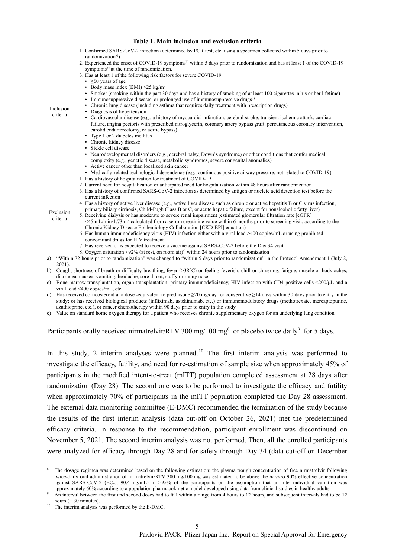|           | 1. Confirmed SARS-CoV-2 infection (determined by PCR test, etc. using a specimen collected within 5 days prior to                                                                                                                                      |
|-----------|--------------------------------------------------------------------------------------------------------------------------------------------------------------------------------------------------------------------------------------------------------|
|           | randomization <sup>a)</sup> )                                                                                                                                                                                                                          |
|           | 2. Experienced the onset of COVID-19 symptoms <sup>b)</sup> within 5 days prior to randomization and has at least 1 of the COVID-19                                                                                                                    |
|           | symptoms <sup>b)</sup> at the time of randomization.                                                                                                                                                                                                   |
|           | 3. Has at least 1 of the following risk factors for severe COVID-19.                                                                                                                                                                                   |
|           | $\cdot$ $\geq 60$ years of age                                                                                                                                                                                                                         |
|           | • Body mass index (BMI) $>25 \text{ kg/m}^2$                                                                                                                                                                                                           |
|           | • Smoker (smoking within the past 30 days and has a history of smoking of at least 100 cigarettes in his or her lifetime)                                                                                                                              |
|           | Immunosuppressive disease <sup>c)</sup> or prolonged use of immunosuppressive drugs <sup>d)</sup>                                                                                                                                                      |
| Inclusion | Chronic lung disease (including asthma that requires daily treatment with prescription drugs)                                                                                                                                                          |
| criteria  | Diagnosis of hypertension                                                                                                                                                                                                                              |
|           | • Cardiovascular disease (e.g., a history of myocardial infarction, cerebral stroke, transient ischemic attack, cardiac                                                                                                                                |
|           | failure, angina pectoris with prescribed nitroglycerin, coronary artery bypass graft, percutaneous coronary intervention,                                                                                                                              |
|           | carotid endarterectomy, or aortic bypass)                                                                                                                                                                                                              |
|           | • Type 1 or 2 diabetes mellitus                                                                                                                                                                                                                        |
|           | • Chronic kidney disease                                                                                                                                                                                                                               |
|           | · Sickle cell disease                                                                                                                                                                                                                                  |
|           | • Neurodevelopmental disorders (e.g., cerebral palsy, Down's syndrome) or other conditions that confer medical                                                                                                                                         |
|           | complexity (e.g., genetic disease, metabolic syndromes, severe congenital anomalies)                                                                                                                                                                   |
|           | • Active cancer other than localized skin cancer                                                                                                                                                                                                       |
|           | • Medically-related technological dependence (e.g., continuous positive airway pressure, not related to COVID-19)                                                                                                                                      |
|           | 1. Has a history of hospitalization for treatment of COVID-19                                                                                                                                                                                          |
|           | 2. Current need for hospitalization or anticipated need for hospitalization within 48 hours after randomization                                                                                                                                        |
|           | 3. Has a history of confirmed SARS-CoV-2 infection as determined by antigen or nucleic acid detection test before the<br>current infection                                                                                                             |
|           |                                                                                                                                                                                                                                                        |
|           | 4. Has a history of active liver disease (e.g., active liver disease such as chronic or active hepatitis B or C virus infection,<br>primary biliary cirrhosis, Child-Pugh Class B or C, or acute hepatic failure, except for nonalcoholic fatty liver) |
| Exclusion | 5. Receiving dialysis or has moderate to severe renal impairment (estimated glomerular filtration rate [eGFR]                                                                                                                                          |
| criteria  | $\leq$ 45 mL/min/1.73 m <sup>2</sup> calculated from a serum creatinine value within 6 months prior to screening visit, according to the                                                                                                               |
|           | Chronic Kidney Disease Epidemiology Collaboration [CKD-EPI] equation)                                                                                                                                                                                  |
|           | 6. Has human immunodeficiency virus (HIV) infection either with a viral load >400 copies/mL or using prohibited                                                                                                                                        |
|           | concomitant drugs for HIV treatment                                                                                                                                                                                                                    |
|           | 7. Has received or is expected to receive a vaccine against SARS-CoV-2 before the Day 34 visit                                                                                                                                                         |
|           | 8. Oxygen saturation <92% (at rest, on room air) <sup>e)</sup> within 24 hours prior to randomization                                                                                                                                                  |
| a)        | "Within 72 hours prior to randomization" was changed to "within 5 days prior to randomization" in the Protocol Amendment 1 (July 2,                                                                                                                    |

#### **Table 1. Main inclusion and exclusion criteria**

2021). b) Cough, shortness of breath or difficulty breathing, fever (>38°C) or feeling feverish, chill or shivering, fatigue, muscle or body aches,

diarrhoea, nausea, vomiting, headache, sore throat, stuffy or runny nose c) Bone marrow transplantation, organ transplantation, primary immunodeficiency, HIV infection with CD4 positive cells <200/μL and a viral load <400 copies/mL, etc.

d) Has received corticosteroid at a dose -equivalent to prednisone ≥20 mg/day for consecutive ≥14 days within 30 days prior to entry in the study; or has received biological products (infliximab, ustekinumab, etc.) or immunomodulatory drugs (methotrexate, mercaptopurine, azathioprine, etc.), or cancer chemotherapy within 90 days prior to entry in the study

e) Value on standard home oxygen therapy for a patient who receives chronic supplementary oxygen for an underlying lung condition

Participants orally received nirmatrelvir/RTV 300 mg/100 mg<sup>8</sup> or placebo twice daily<sup>9</sup> for 5 days.

In this study, 2 interim analyses were planned.<sup>10</sup> The first interim analysis was performed to investigate the efficacy, futility, and need for re-estimation of sample size when approximately 45% of participants in the modified intent-to-treat (mITT) population completed assessment at 28 days after randomization (Day 28). The second one was to be performed to investigate the efficacy and futility when approximately 70% of participants in the mITT population completed the Day 28 assessment. The external data monitoring committee (E-DMC) recommended the termination of the study because the results of the first interim analysis (data cut-off on October 26, 2021) met the predetermined efficacy criteria. In response to the recommendation, participant enrollment was discontinued on November 5, 2021. The second interim analysis was not performed. Then, all the enrolled participants were analyzed for efficacy through Day 28 and for safety through Day 34 (data cut-off on December

l

<sup>8</sup> The dosage regimen was determined based on the following estimation: the plasma trough concentration of free nirmatrelvir following twice-daily oral administration of nirmatrelvir/RTV 300 mg/100 mg was estimated to be above the *in vitro* 90% effective concentration against SARS-CoV-2 (EC<sub>90</sub>, 90.4 ng/mL) in >95% of the participants on the assumption that an inter-individual variation was approximately 60% according to a population pharmacokinetic model developed using data from clinical studies in healthy adults.

An interval between the first and second doses had to fall within a range from 4 hours to 12 hours, and subsequent intervals had to be 12

hours ( $\pm$  30 minutes).<br><sup>10</sup> The interim analysis was performed by the E-DMC.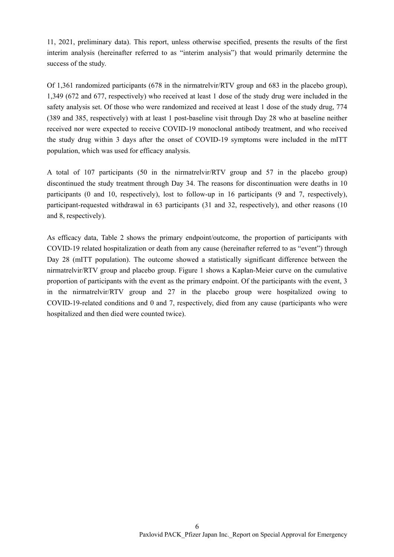11, 2021, preliminary data). This report, unless otherwise specified, presents the results of the first interim analysis (hereinafter referred to as "interim analysis") that would primarily determine the success of the study.

Of 1,361 randomized participants (678 in the nirmatrelvir/RTV group and 683 in the placebo group), 1,349 (672 and 677, respectively) who received at least 1 dose of the study drug were included in the safety analysis set. Of those who were randomized and received at least 1 dose of the study drug, 774 (389 and 385, respectively) with at least 1 post-baseline visit through Day 28 who at baseline neither received nor were expected to receive COVID-19 monoclonal antibody treatment, and who received the study drug within 3 days after the onset of COVID-19 symptoms were included in the mITT population, which was used for efficacy analysis.

A total of 107 participants (50 in the nirmatrelvir/RTV group and 57 in the placebo group) discontinued the study treatment through Day 34. The reasons for discontinuation were deaths in 10 participants (0 and 10, respectively), lost to follow-up in 16 participants (9 and 7, respectively), participant-requested withdrawal in 63 participants (31 and 32, respectively), and other reasons (10 and 8, respectively).

As efficacy data, Table 2 shows the primary endpoint/outcome, the proportion of participants with COVID-19 related hospitalization or death from any cause (hereinafter referred to as "event") through Day 28 (mITT population). The outcome showed a statistically significant difference between the nirmatrelvir/RTV group and placebo group. Figure 1 shows a Kaplan-Meier curve on the cumulative proportion of participants with the event as the primary endpoint. Of the participants with the event, 3 in the nirmatrelvir/RTV group and 27 in the placebo group were hospitalized owing to COVID-19-related conditions and 0 and 7, respectively, died from any cause (participants who were hospitalized and then died were counted twice).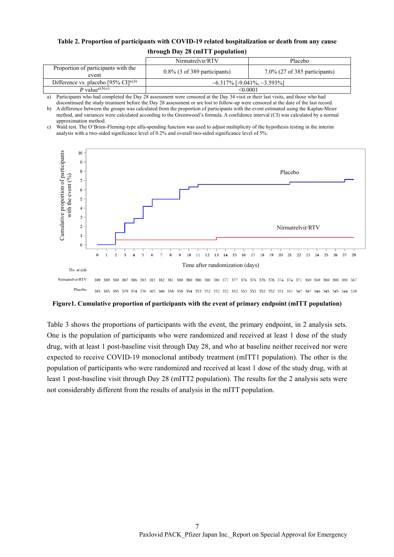## **Table 2. Proportion of participants with COVID-19 related hospitalization or death from any cause through Day 28 (mITT population)**

|                                              | Nirmatrelvir/RTV<br>Placebo     |                                   |  |
|----------------------------------------------|---------------------------------|-----------------------------------|--|
| Proportion of participants with the<br>event | $0.8\%$ (3 of 389 participants) | $7.0\%$ (27 of 385 participants)  |  |
| Difference vs. placebo [95% $CI[a),b)$       |                                 | $-6.317\%$ [-9.041%, $-3.593\%$ ] |  |
| P value <sup>a),b</sup> ),c)                 |                                 | <0.0001                           |  |
|                                              |                                 |                                   |  |

a) Participants who had completed the Day 28 assessment were censored at the Day 34 visit or their last visits, and those who had discontinued the study treatment before the Day 28 assessment or are lost to follow-up were censored at the date of the last record.

b) A difference between the groups was calculated from the proportion of participants with the event estimated using the Kaplan-Meier method, and variances were calculated according to the Greenwood's formula. A confidence interval (CI) was calculated by a normal approximation method.

c) Wald test. The O'Brien-Fleming-type alfa-spending function was used to adjust multiplicity of the hypothesis testing in the interim analysis with a two-sided significance level of 0.2% and overall two-sided significance level of 5%.



**Figure1. Cumulative proportion of participants with the event of primary endpoint (mITT population)** 

Table 3 shows the proportions of participants with the event, the primary endpoint, in 2 analysis sets. One is the population of participants who were randomized and received at least 1 dose of the study drug, with at least 1 post-baseline visit through Day 28, and who at baseline neither received nor were expected to receive COVID-19 monoclonal antibody treatment (mITT1 population). The other is the population of participants who were randomized and received at least 1 dose of the study drug, with at least 1 post-baseline visit through Day 28 (mITT2 population). The results for the 2 analysis sets were not considerably different from the results of analysis in the mITT population.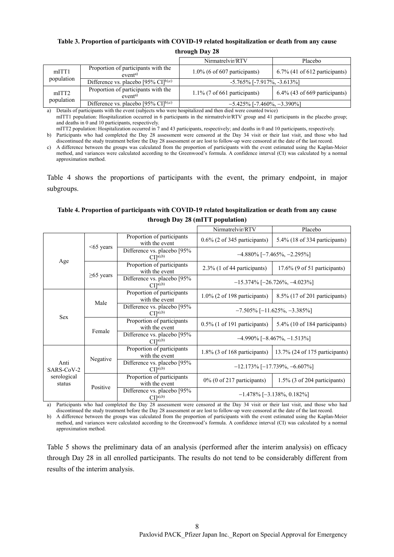## **Table 3. Proportion of participants with COVID-19 related hospitalization or death from any cause**

#### **through Day 28**

|                                 |                                                                | Nirmatrelvir/RTV                       | Placebo                          |
|---------------------------------|----------------------------------------------------------------|----------------------------------------|----------------------------------|
| mITT1                           | Proportion of participants with the<br>event <sup>a)</sup>     | $1.0\%$ (6 of 607 participants)        | $6.7\%$ (41 of 612 participants) |
| population                      | Difference vs. placebo [95% $CI^{b,c}$ ]                       | $-5.765\%$ [ $-7.917\%$ , $-3.613\%$ ] |                                  |
| mITT <sub>2</sub><br>population | Proportion of participants with the<br>event <sup>a)</sup>     | $1.1\%$ (7 of 661 participants)        | $6.4\%$ (43 of 669 participants) |
|                                 | Difference vs. placebo $[95\% \text{ CI}]^{\text{b},\text{c}}$ | $-5.425\%$ [-7.460%, $-3.390\%$ ]      |                                  |

a) Details of participants with the event (subjects who were hospitalized and then died were counted twice)

mITT1 population: Hospitalization occurred in 6 participants in the nirmatrelvir/RTV group and 41 participants in the placebo group; and deaths in 0 and 10 participants, respectively.

mITT2 population: Hospitalization occurred in 7 and 43 participants, respectively; and deaths in 0 and 10 participants, respectively.

b) Participants who had completed the Day 28 assessment were censored at the Day 34 visit or their last visit, and those who had discontinued the study treatment before the Day 28 assessment or are lost to follow-up were censored at the date of the last record.

c) A difference between the groups was calculated from the proportion of participants with the event estimated using the Kaplan-Meier method, and variances were calculated according to the Greenwood's formula. A confidence interval (CI) was calculated by a normal approximation method.

Table 4 shows the proportions of participants with the event, the primary endpoint, in major subgroups.

## **Table 4. Proportion of participants with COVID-19 related hospitalization or death from any cause through Day 28 (mITT population)**

|                                             |                 |                                                                  | Nirmatrelvir/RTV                       | Placebo                           |
|---------------------------------------------|-----------------|------------------------------------------------------------------|----------------------------------------|-----------------------------------|
|                                             |                 | Proportion of participants<br>with the event                     | $0.6\%$ (2 of 345 participants)        | $5.4\%$ (18 of 334 participants)  |
|                                             | $<65$ years     | Difference vs. placebo [95%]<br>CI <sup>[a),b)</sup>             | $-4.880\%$ [-7.465%, -2.295%]          |                                   |
| Age                                         | $\geq$ 65 years | Proportion of participants<br>with the event                     | $2.3\%$ (1 of 44 participants)         | $17.6\%$ (9 of 51 participants)   |
|                                             |                 | Difference vs. placebo [95%]<br>CI[ <sup>a</sup> ), <sup>b</sup> | $-15.374\%$ [-26.726%, -4.023%]        |                                   |
| <b>Sex</b>                                  | Male            | Proportion of participants<br>with the event                     | $1.0\%$ (2 of 198 participants)        | $8.5\%$ (17 of 201 participants)  |
|                                             |                 | Difference vs. placebo [95%<br>CI <sup>[a),b)</sup>              | $-7.505\%$ [-11.625%, -3.385%]         |                                   |
|                                             | Female          | Proportion of participants<br>with the event                     | $0.5\%$ (1 of 191 participants)        | 5.4% (10 of 184 participants)     |
|                                             |                 | Difference vs. placebo [95%<br>CI[a],b)                          | $-4.990\%$ [ $-8.467\%$ , $-1.513\%$ ] |                                   |
|                                             | Negative        | Proportion of participants<br>with the event                     | $1.8\%$ (3 of 168 participants)        | $13.7\%$ (24 of 175 participants) |
| Anti<br>SARS-CoV-2<br>serological<br>status |                 | Difference vs. placebo [95%<br>CI[1a), b)                        | $-12.173\%$ [-17.739%, -6.607%]        |                                   |
|                                             | Positive        | Proportion of participants<br>with the event                     | $0\%$ (0 of 217 participants)          | $1.5\%$ (3 of 204 participants)   |
|                                             |                 | Difference vs. placebo [95%]<br>CI[ <sup>a</sup> ), <sup>b</sup> | $-1.478\%$ [-3.138%, 0.182%]           |                                   |

Participants who had completed the Day 28 assessment were censored at the Day 34 visit or their last visit, and those who had discontinued the study treatment before the Day 28 assessment or are lost to follow-up were censored at the date of the last record.

b) A difference between the groups was calculated from the proportion of participants with the event estimated using the Kaplan-Meier method, and variances were calculated according to the Greenwood's formula. A confidence interval (CI) was calculated by a normal approximation method.

Table 5 shows the preliminary data of an analysis (performed after the interim analysis) on efficacy through Day 28 in all enrolled participants. The results do not tend to be considerably different from results of the interim analysis.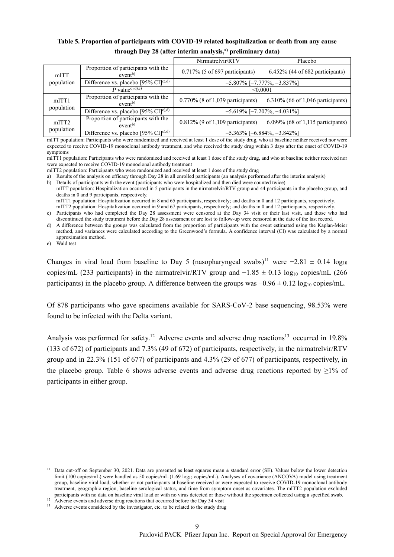## **Table 5. Proportion of participants with COVID-19 related hospitalization or death from any cause**  through Day 28 (after interim analysis,<sup>a)</sup> preliminary data)

|                                 |                                                                | Nirmatrelvir/RTV                                                         | Placebo                            |
|---------------------------------|----------------------------------------------------------------|--------------------------------------------------------------------------|------------------------------------|
| mITT<br>population              | Proportion of participants with the<br>event <sup>b</sup>      | $0.717\%$ (5 of 697 participants)                                        | $6.452\%$ (44 of 682 participants) |
|                                 | Difference vs. placebo $[95\% \text{ CI}]^{\text{c},\text{d}}$ | $-5.807\%$ [ $-7.777\%$ , $-3.837\%$ ]                                   |                                    |
|                                 | P value <sup>c),d),e)</sup>                                    | < 0.0001                                                                 |                                    |
| mITT <sub>1</sub><br>population | Proportion of participants with the<br>event <sup>b</sup>      | $0.770\%$ (8 of 1,039 participants)                                      | 6.310% (66 of 1,046 participants)  |
|                                 | Difference vs. placebo [95% $CI[c)$ ,d)                        | $-5.619\%$ [ $-7.207\%$ , $-4.031\%$ ]                                   |                                    |
| mITT <sub>2</sub><br>population | Proportion of participants with the<br>event <sup>b</sup>      | 6.099% (68 of 1,115 participants)<br>$0.812\%$ (9 of 1,109 participants) |                                    |
|                                 | Difference vs. placebo [95% $CI[c)$ ,d)                        | $-5.363\%$ [ $-6.884\%$ , $-3.842\%$ ]                                   |                                    |

mITT population: Participants who were randomized and received at least 1 dose of the study drug, who at baseline neither received nor were expected to receive COVID-19 monoclonal antibody treatment, and who received the study drug within 3 days after the onset of COVID-19 symptoms

mITT1 population: Participants who were randomized and received at least 1 dose of the study drug, and who at baseline neither received nor were expected to receive COVID-19 monoclonal antibody treatment

a) Results of the analysis on efficacy through Day 28 in all enrolled participants (an analysis performed after the interim analysis)

b) Details of participants with the event (participants who were hospitalized and then died were counted twice) mITT population: Hospitalization occurred in 5 participants in the nirmatrelvir/RTV group and 44 participants in the placebo group, and deaths in 0 and 9 participants, respectively. mITT1 population: Hospitalization occurred in 8 and 65 participants, respectively; and deaths in 0 and 12 participants, respectively.

mITT2 population: Hospitalization occurred in 9 and 67 participants, respectively; and deaths in 0 and 12 participants, respectively.

c) Participants who had completed the Day 28 assessment were censored at the Day 34 visit or their last visit, and those who had

discontinued the study treatment before the Day 28 assessment or are lost to follow-up were censored at the date of the last record. d) A difference between the groups was calculated from the proportion of participants with the event estimated using the Kaplan-Meier method, and variances were calculated according to the Greenwood's formula. A confidence interval (CI) was calculated by a normal approximation method.

e) Wald test

Changes in viral load from baseline to Day 5 (nasopharyngeal swabs)<sup>11</sup> were  $-2.81 \pm 0.14$  log<sub>10</sub> copies/mL (233 participants) in the nirmatrelvir/RTV group and  $-1.85 \pm 0.13 \log_{10}$  copies/mL (266 participants) in the placebo group. A difference between the groups was  $-0.96 \pm 0.12 \log_{10}$  copies/mL.

Of 878 participants who gave specimens available for SARS-CoV-2 base sequencing, 98.53% were found to be infected with the Delta variant.

Analysis was performed for safety.<sup>12</sup> Adverse events and adverse drug reactions<sup>13</sup> occurred in 19.8% (133 of 672) of participants and 7.3% (49 of 672) of participants, respectively, in the nirmatrelvir/RTV group and in 22.3% (151 of 677) of participants and 4.3% (29 of 677) of participants, respectively, in the placebo group. Table 6 shows adverse events and adverse drug reactions reported by  $\geq$ 1% of participants in either group.

mITT2 population: Participants who were randomized and received at least 1 dose of the study drug

l <sup>11</sup> Data cut-off on September 30, 2021. Data are presented as least squares mean  $\pm$  standard error (SE). Values below the lower detection limit (100 copies/mL) were handled as 50 copies/mL (1.69 log<sub>10</sub> copies/mL). Analyses of covariance (ANCOVA) model using treatment group, baseline viral load, whether or not participants at baseline received or were expected to receive COVID-19 monoclonal antibody treatment, geographic region, baseline serological status, and time from symptom onset as covariates. The mITT2 population excluded participants with no data on baseline viral load or with no virus detected or those without the specimen collected using a specified swab.<br><sup>12</sup> Adverse events and adverse drug reactions that occurred before the Day 34 visi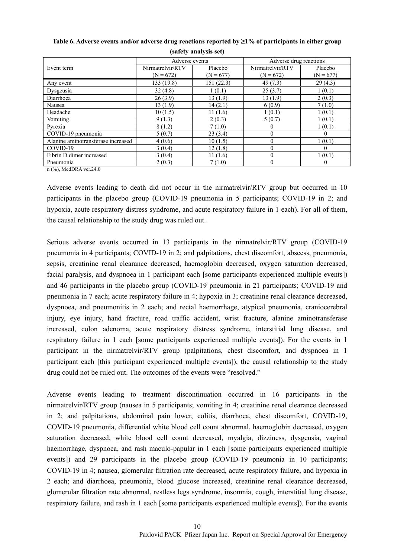|                                    | Adverse events   |             | Adverse drug reactions |                |  |
|------------------------------------|------------------|-------------|------------------------|----------------|--|
| Event term                         | Nirmatrelvir/RTV | Placebo     | Nirmatrelvir/RTV       | Placebo        |  |
|                                    | $(N = 672)$      | $(N = 677)$ | $(N = 672)$            | $(N = 677)$    |  |
| Any event                          | 133 (19.8)       | 151(22.3)   | 49(7.3)                | 29(4.3)        |  |
| Dysgeusia                          | 32(4.8)          | 1(0.1)      | 25(3.7)                | 1(0.1)         |  |
| Diarrhoea                          | 26(3.9)          | 13(1.9)     | 13(1.9)                | 2(0.3)         |  |
| Nausea                             | 13(1.9)          | 14(2.1)     | 6(0.9)                 | 7(1.0)         |  |
| Headache                           | 10(1.5)          | 11(1.6)     | 1(0.1)                 | 1(0.1)         |  |
| Vomiting                           | 9(1.3)           | 2(0.3)      | 5(0.7)                 | 1(0.1)         |  |
| Pyrexia                            | 8(1.2)           | 7(1.0)      | $\Omega$               | 1(0.1)         |  |
| COVID-19 pneumonia                 | 5(0.7)           | 23(3.4)     | $\theta$               | $\theta$       |  |
| Alanine aminotransferase increased | 4(0.6)           | 10(1.5)     | $\Omega$               | 1(0.1)         |  |
| COVID-19                           | 3(0.4)           | 12(1.8)     | $\theta$               | 0              |  |
| Fibrin D dimer increased           | 3(0.4)           | 11(1.6)     | $\Omega$               | 1(0.1)         |  |
| Pneumonia                          | 2(0.3)           | 7(1.0)      | $\Omega$               | $\overline{0}$ |  |

**Table 6. Adverse events and/or adverse drug reactions reported by ≥1% of participants in either group (safety analysis set)** 

n (%), MedDRA ver.24.0

Adverse events leading to death did not occur in the nirmatrelvir/RTV group but occurred in 10 participants in the placebo group (COVID-19 pneumonia in 5 participants; COVID-19 in 2; and hypoxia, acute respiratory distress syndrome, and acute respiratory failure in 1 each). For all of them, the causal relationship to the study drug was ruled out.

Serious adverse events occurred in 13 participants in the nirmatrelvir/RTV group (COVID-19 pneumonia in 4 participants; COVID-19 in 2; and palpitations, chest discomfort, abscess, pneumonia, sepsis, creatinine renal clearance decreased, haemoglobin decreased, oxygen saturation decreased, facial paralysis, and dyspnoea in 1 participant each [some participants experienced multiple events]) and 46 participants in the placebo group (COVID-19 pneumonia in 21 participants; COVID-19 and pneumonia in 7 each; acute respiratory failure in 4; hypoxia in 3; creatinine renal clearance decreased, dyspnoea, and pneumonitis in 2 each; and rectal haemorrhage, atypical pneumonia, craniocerebral injury, eye injury, hand fracture, road traffic accident, wrist fracture, alanine aminotransferase increased, colon adenoma, acute respiratory distress syndrome, interstitial lung disease, and respiratory failure in 1 each [some participants experienced multiple events]). For the events in 1 participant in the nirmatrelvir/RTV group (palpitations, chest discomfort, and dyspnoea in 1 participant each [this participant experienced multiple events]), the causal relationship to the study drug could not be ruled out. The outcomes of the events were "resolved."

Adverse events leading to treatment discontinuation occurred in 16 participants in the nirmatrelvir/RTV group (nausea in 5 participants; vomiting in 4; creatinine renal clearance decreased in 2; and palpitations, abdominal pain lower, colitis, diarrhoea, chest discomfort, COVID-19, COVID-19 pneumonia, differential white blood cell count abnormal, haemoglobin decreased, oxygen saturation decreased, white blood cell count decreased, myalgia, dizziness, dysgeusia, vaginal haemorrhage, dyspnoea, and rash maculo-papular in 1 each [some participants experienced multiple events]) and 29 participants in the placebo group (COVID-19 pneumonia in 10 participants; COVID-19 in 4; nausea, glomerular filtration rate decreased, acute respiratory failure, and hypoxia in 2 each; and diarrhoea, pneumonia, blood glucose increased, creatinine renal clearance decreased, glomerular filtration rate abnormal, restless legs syndrome, insomnia, cough, interstitial lung disease, respiratory failure, and rash in 1 each [some participants experienced multiple events]). For the events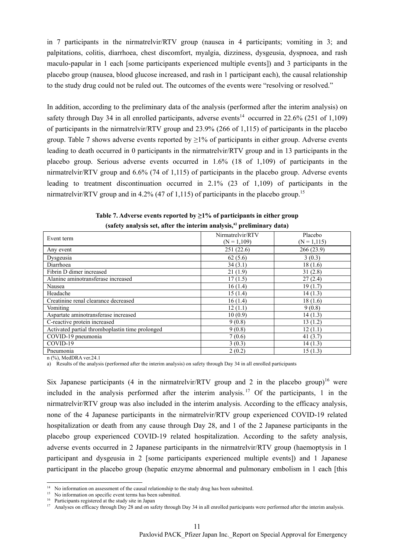in 7 participants in the nirmatrelvir/RTV group (nausea in 4 participants; vomiting in 3; and palpitations, colitis, diarrhoea, chest discomfort, myalgia, dizziness, dysgeusia, dyspnoea, and rash maculo-papular in 1 each [some participants experienced multiple events]) and 3 participants in the placebo group (nausea, blood glucose increased, and rash in 1 participant each), the causal relationship to the study drug could not be ruled out. The outcomes of the events were "resolving or resolved."

In addition, according to the preliminary data of the analysis (performed after the interim analysis) on safety through Day 34 in all enrolled participants, adverse events<sup>14</sup> occurred in 22.6% (251 of 1,109) of participants in the nirmatrelvir/RTV group and 23.9% (266 of 1,115) of participants in the placebo group. Table 7 shows adverse events reported by  $\geq$ 1% of participants in either group. Adverse events leading to death occurred in 0 participants in the nirmatrelvir/RTV group and in 13 participants in the placebo group. Serious adverse events occurred in 1.6% (18 of 1,109) of participants in the nirmatrelvir/RTV group and 6.6% (74 of 1,115) of participants in the placebo group. Adverse events leading to treatment discontinuation occurred in 2.1% (23 of 1,109) of participants in the nirmatrelvir/RTV group and in 4.2% (47 of 1.115) of participants in the placebo group.<sup>15</sup>

| Event term                                      | Nirmatrelvir/RTV<br>$(N = 1,109)$ | Placebo<br>$(N = 1, 115)$ |
|-------------------------------------------------|-----------------------------------|---------------------------|
| Any event                                       | 251 (22.6)                        | 266 (23.9)                |
| Dysgeusia                                       | 62(5.6)                           | 3(0.3)                    |
| Diarrhoea                                       | 34(3.1)                           | 18(1.6)                   |
| Fibrin D dimer increased                        | 21(1.9)                           | 31(2.8)                   |
| Alanine aminotransferase increased              | 17(1.5)                           | 27(2.4)                   |
| Nausea                                          | 16(1.4)                           | 19(1.7)                   |
| Headache                                        | 15(1.4)                           | 14(1.3)                   |
| Creatinine renal clearance decreased            | 16(1.4)                           | 18(1.6)                   |
| Vomiting                                        | 12(1.1)                           | 9(0.8)                    |
| Aspartate aminotransferase increased            | 10(0.9)                           | 14(1.3)                   |
| C-reactive protein increased                    | 9(0.8)                            | 13(1.2)                   |
| Activated partial thromboplastin time prolonged | 9(0.8)                            | 12(1.1)                   |
| COVID-19 pneumonia                              | 7(0.6)                            | 41 $(3.7)$                |
| COVID-19                                        | 3(0.3)                            | 14(1.3)                   |
| Pneumonia                                       | 2(0.2)                            | 15(1.3)                   |

| Table 7. Adverse events reported by $\geq$ 1% of participants in either group     |
|-----------------------------------------------------------------------------------|
| (safety analysis set, after the interim analysis, <sup>a)</sup> preliminary data) |

n (%), MedDRA ver.24.1

l

a) Results of the analysis (performed after the interim analysis) on safety through Day 34 in all enrolled participants

Six Japanese participants (4 in the nirmatrelvir/RTV group and 2 in the placebo group)<sup>16</sup> were included in the analysis performed after the interim analysis.<sup>17</sup> Of the participants, 1 in the nirmatrelvir/RTV group was also included in the interim analysis. According to the efficacy analysis, none of the 4 Japanese participants in the nirmatrelvir/RTV group experienced COVID-19 related hospitalization or death from any cause through Day 28, and 1 of the 2 Japanese participants in the placebo group experienced COVID-19 related hospitalization. According to the safety analysis, adverse events occurred in 2 Japanese participants in the nirmatrelvir/RTV group (haemoptysis in 1 participant and dysgeusia in 2 [some participants experienced multiple events]) and 1 Japanese participant in the placebo group (hepatic enzyme abnormal and pulmonary embolism in 1 each [this

<sup>&</sup>lt;sup>14</sup> No information on assessment of the causal relationship to the study drug has been submitted. <sup>15</sup> No information on specific event terms has been submitted.

<sup>&</sup>lt;sup>16</sup> Participants registered at the study site in Japan

<sup>&</sup>lt;sup>17</sup> Analyses on efficacy through Day 28 and on safety through Day 34 in all enrolled participants were performed after the interim analysis.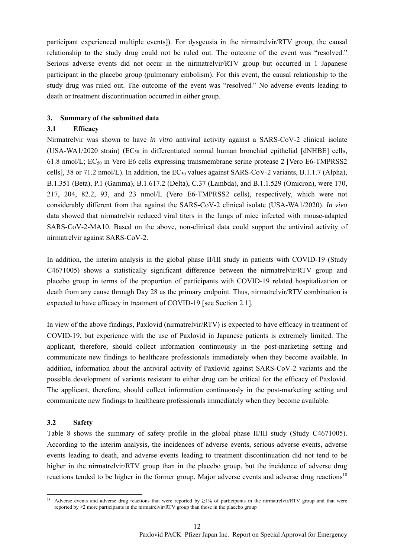participant experienced multiple events]). For dysgeusia in the nirmatrelvir/RTV group, the causal relationship to the study drug could not be ruled out. The outcome of the event was "resolved." Serious adverse events did not occur in the nirmatrelvir/RTV group but occurred in 1 Japanese participant in the placebo group (pulmonary embolism). For this event, the causal relationship to the study drug was ruled out. The outcome of the event was "resolved." No adverse events leading to death or treatment discontinuation occurred in either group.

#### **3. Summary of the submitted data**

#### **3.1 Efficacy**

Nirmatrelvir was shown to have *in vitro* antiviral activity against a SARS-CoV-2 clinical isolate (USA-WA1/2020 strain) (EC<sub>50</sub> in differentiated normal human bronchial epithelial [dNHBE] cells, 61.8 nmol/L;  $EC_{50}$  in Vero E6 cells expressing transmembrane serine protease 2 [Vero E6-TMPRSS2] cells], 38 or 71.2 nmol/L). In addition, the  $EC_{50}$  values against SARS-CoV-2 variants, B.1.1.7 (Alpha), B.1.351 (Beta), P.1 (Gamma), B.1.617.2 (Delta), C.37 (Lambda), and B.1.1.529 (Omicron), were 170, 217, 204, 82.2, 93, and 23 nmol/L (Vero E6-TMPRSS2 cells), respectively, which were not considerably different from that against the SARS-CoV-2 clinical isolate (USA-WA1/2020). *In vivo* data showed that nirmatrelvir reduced viral titers in the lungs of mice infected with mouse-adapted SARS-CoV-2-MA10. Based on the above, non-clinical data could support the antiviral activity of nirmatrelvir against SARS-CoV-2.

In addition, the interim analysis in the global phase II/III study in patients with COVID-19 (Study C4671005) shows a statistically significant difference between the nirmatrelvir/RTV group and placebo group in terms of the proportion of participants with COVID-19 related hospitalization or death from any cause through Day 28 as the primary endpoint. Thus, nirmatrelvir/RTV combination is expected to have efficacy in treatment of COVID-19 [see Section 2.1].

In view of the above findings, Paxlovid (nirmatrelvir/RTV) is expected to have efficacy in treatment of COVID-19, but experience with the use of Paxlovid in Japanese patients is extremely limited. The applicant, therefore, should collect information continuously in the post-marketing setting and communicate new findings to healthcare professionals immediately when they become available. In addition, information about the antiviral activity of Paxlovid against SARS-CoV-2 variants and the possible development of variants resistant to either drug can be critical for the efficacy of Paxlovid. The applicant, therefore, should collect information continuously in the post-marketing setting and communicate new findings to healthcare professionals immediately when they become available.

#### **3.2 Safety**

Table 8 shows the summary of safety profile in the global phase II/III study (Study C4671005). According to the interim analysis, the incidences of adverse events, serious adverse events, adverse events leading to death, and adverse events leading to treatment discontinuation did not tend to be higher in the nirmatrelvir/RTV group than in the placebo group, but the incidence of adverse drug reactions tended to be higher in the former group. Major adverse events and adverse drug reactions<sup>18</sup>

l <sup>18</sup> Adverse events and adverse drug reactions that were reported by  $\geq$ 1% of participants in the nirmatrelvir/RTV group and that were reported by  $\geq$ 2 more participants in the nirmatrelvir/RTV group than those in the placebo group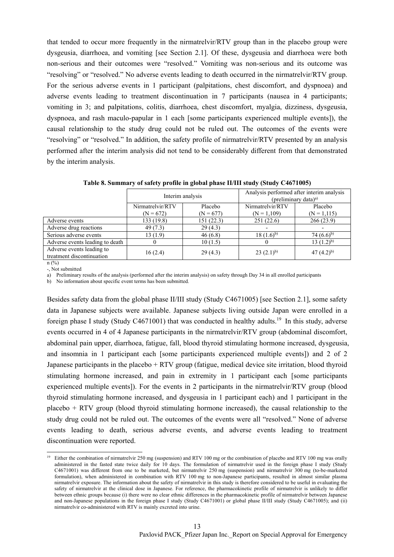that tended to occur more frequently in the nirmatrelvir/RTV group than in the placebo group were dysgeusia, diarrhoea, and vomiting [see Section 2.1]. Of these, dysgeusia and diarrhoea were both non-serious and their outcomes were "resolved." Vomiting was non-serious and its outcome was "resolving" or "resolved." No adverse events leading to death occurred in the nirmatrelvir/RTV group. For the serious adverse events in 1 participant (palpitations, chest discomfort, and dyspnoea) and adverse events leading to treatment discontinuation in 7 participants (nausea in 4 participants; vomiting in 3; and palpitations, colitis, diarrhoea, chest discomfort, myalgia, dizziness, dysgeusia, dyspnoea, and rash maculo-papular in 1 each [some participants experienced multiple events]), the causal relationship to the study drug could not be ruled out. The outcomes of the events were "resolving" or "resolved." In addition, the safety profile of nirmatrelvir/RTV presented by an analysis performed after the interim analysis did not tend to be considerably different from that demonstrated by the interim analysis.

|                                                        | Interim analysis                |                        | Analysis performed after interim analysis<br>(preliminary data) <sup>a)</sup> |                           |
|--------------------------------------------------------|---------------------------------|------------------------|-------------------------------------------------------------------------------|---------------------------|
|                                                        | Nirmatrelvir/RTV<br>$(N = 672)$ | Placebo<br>$(N = 677)$ | Nirmatrelvir/RTV<br>$(N = 1,109)$                                             | Placebo<br>$(N = 1, 115)$ |
| Adverse events                                         | 133 (19.8)                      | 151 (22.3)             | 251(22.6)                                                                     | 266(23.9)                 |
| Adverse drug reactions                                 | 49 (7.3)                        | 29(4.3)                |                                                                               |                           |
| Serious adverse events                                 | 13(1.9)                         | 46(6.8)                | $18(1.6)^{b}$                                                                 | 74 $(6.6)^{b}$            |
| Adverse events leading to death                        |                                 | 10(1.5)                |                                                                               | $13(1.2)^{b}$             |
| Adverse events leading to<br>treatment discontinuation | 16(2.4)                         | 29(4.3)                | $23(2.1)^{b}$                                                                 | 47 $(4.2)^{b}$            |

**Table 8. Summary of safety profile in global phase II/III study (Study C4671005)** 

n (%) -, Not submitted

l

a) Preliminary results of the analysis (performed after the interim analysis) on safety through Day 34 in all enrolled participants

b) No information about specific event terms has been submitted.

Besides safety data from the global phase II/III study (Study C4671005) [see Section 2.1], some safety data in Japanese subjects were available. Japanese subjects living outside Japan were enrolled in a foreign phase I study (Study C4671001) that was conducted in healthy adults.<sup>19</sup> In this study, adverse events occurred in 4 of 4 Japanese participants in the nirmatrelvir/RTV group (abdominal discomfort, abdominal pain upper, diarrhoea, fatigue, fall, blood thyroid stimulating hormone increased, dysgeusia, and insomnia in 1 participant each [some participants experienced multiple events]) and 2 of 2 Japanese participants in the placebo + RTV group (fatigue, medical device site irritation, blood thyroid stimulating hormone increased, and pain in extremity in 1 participant each [some participants experienced multiple events]). For the events in 2 participants in the nirmatrelvir/RTV group (blood thyroid stimulating hormone increased, and dysgeusia in 1 participant each) and 1 participant in the placebo + RTV group (blood thyroid stimulating hormone increased), the causal relationship to the study drug could not be ruled out. The outcomes of the events were all "resolved." None of adverse events leading to death, serious adverse events, and adverse events leading to treatment discontinuation were reported.

<sup>&</sup>lt;sup>19</sup> Either the combination of nirmatrelvir 250 mg (suspension) and RTV 100 mg or the combination of placebo and RTV 100 mg was orally administered in the fasted state twice daily for 10 days. The formulation of nirmatrelvir used in the foreign phase I study (Study C4671001) was different from one to be marketed, but nirmatrelvir 250 mg (suspension) and nirmatrelvir 300 mg (to-be-marketed formulation), when administered in combination with RTV 100 mg to non-Japanese participants, resulted in almost similar plasma nirmatrelvir exposure. The information about the safety of nirmatrelvir in this study is therefore considered to be useful in evaluating the safety of nirmatrelvir at the clinical dose in Japanese. For reference, the pharmacokinetic profile of nirmatrelvir is unlikely to differ between ethnic groups because (i) there were no clear ethnic differences in the pharmacokinetic profile of nirmatrelvir between Japanese and non-Japanese populations in the foreign phase I study (Study C4671001) or global phase II/III study (Study C4671005); and (ii) nirmatrelvir co-administered with RTV is mainly excreted into urine.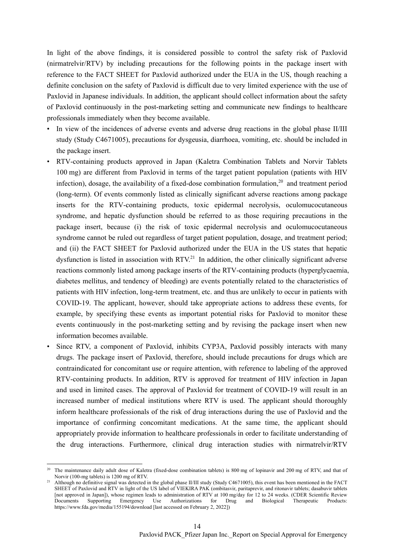In light of the above findings, it is considered possible to control the safety risk of Paxlovid (nirmatrelvir/RTV) by including precautions for the following points in the package insert with reference to the FACT SHEET for Paxlovid authorized under the EUA in the US, though reaching a definite conclusion on the safety of Paxlovid is difficult due to very limited experience with the use of Paxlovid in Japanese individuals. In addition, the applicant should collect information about the safety of Paxlovid continuously in the post-marketing setting and communicate new findings to healthcare professionals immediately when they become available.

- In view of the incidences of adverse events and adverse drug reactions in the global phase II/III study (Study C4671005), precautions for dysgeusia, diarrhoea, vomiting, etc. should be included in the package insert.
- RTV-containing products approved in Japan (Kaletra Combination Tablets and Norvir Tablets 100 mg) are different from Paxlovid in terms of the target patient population (patients with HIV infection), dosage, the availability of a fixed-dose combination formulation,<sup>20</sup> and treatment period (long-term). Of events commonly listed as clinically significant adverse reactions among package inserts for the RTV-containing products, toxic epidermal necrolysis, oculomucocutaneous syndrome, and hepatic dysfunction should be referred to as those requiring precautions in the package insert, because (i) the risk of toxic epidermal necrolysis and oculomucocutaneous syndrome cannot be ruled out regardless of target patient population, dosage, and treatment period; and (ii) the FACT SHEET for Paxlovid authorized under the EUA in the US states that hepatic dysfunction is listed in association with  $RTV<sup>21</sup>$  In addition, the other clinically significant adverse reactions commonly listed among package inserts of the RTV-containing products (hyperglycaemia, diabetes mellitus, and tendency of bleeding) are events potentially related to the characteristics of patients with HIV infection, long-term treatment, etc. and thus are unlikely to occur in patients with COVID-19. The applicant, however, should take appropriate actions to address these events, for example, by specifying these events as important potential risks for Paxlovid to monitor these events continuously in the post-marketing setting and by revising the package insert when new information becomes available.
- Since RTV, a component of Paxlovid, inhibits CYP3A, Paxlovid possibly interacts with many drugs. The package insert of Paxlovid, therefore, should include precautions for drugs which are contraindicated for concomitant use or require attention, with reference to labeling of the approved RTV-containing products. In addition, RTV is approved for treatment of HIV infection in Japan and used in limited cases. The approval of Paxlovid for treatment of COVID-19 will result in an increased number of medical institutions where RTV is used. The applicant should thoroughly inform healthcare professionals of the risk of drug interactions during the use of Paxlovid and the importance of confirming concomitant medications. At the same time, the applicant should appropriately provide information to healthcare professionals in order to facilitate understanding of the drug interactions. Furthermore, clinical drug interaction studies with nirmatrelvir/RTV

l

The maintenance daily adult dose of Kaletra (fixed-dose combination tablets) is 800 mg of lopinavir and 200 mg of RTV, and that of Norvir (100-mg tablets) is 1200 mg of RTV.

Although no definitive signal was detected in the global phase II/III study (Study C4671005), this event has been mentioned in the FACT SHEET of Paxlovid and RTV in light of the US label of VIEKIRA PAK (ombitasvir, paritaprevir, and ritonavir tablets; dasabuvir tablets [not approved in Japan]), whose regimen leads to administration of RTV at 100 mg/day for 12 to 24 weeks. (CDER Scientific Review Documents Supporting Emergency Use Authorizations for Drug and Biological Therapeutic Products: https://www.fda.gov/media/155194/download [last accessed on February 2, 2022])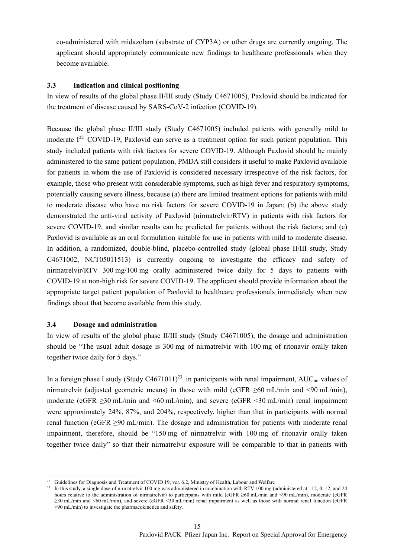co-administered with midazolam (substrate of CYP3A) or other drugs are currently ongoing. The applicant should appropriately communicate new findings to healthcare professionals when they become available.

#### **3.3 Indication and clinical positioning**

In view of results of the global phase II/III study (Study C4671005), Paxlovid should be indicated for the treatment of disease caused by SARS-CoV-2 infection (COVID-19).

Because the global phase II/III study (Study C4671005) included patients with generally mild to moderate  $I^{22}$  COVID-19, Paxlovid can serve as a treatment option for such patient population. This study included patients with risk factors for severe COVID-19. Although Paxlovid should be mainly administered to the same patient population, PMDA still considers it useful to make Paxlovid available for patients in whom the use of Paxlovid is considered necessary irrespective of the risk factors, for example, those who present with considerable symptoms, such as high fever and respiratory symptoms, potentially causing severe illness, because (a) there are limited treatment options for patients with mild to moderate disease who have no risk factors for severe COVID-19 in Japan; (b) the above study demonstrated the anti-viral activity of Paxlovid (nirmatrelvir/RTV) in patients with risk factors for severe COVID-19, and similar results can be predicted for patients without the risk factors; and (c) Paxlovid is available as an oral formulation suitable for use in patients with mild to moderate disease. In addition, a randomized, double-blind, placebo-controlled study (global phase II/III study, Study C4671002, NCT05011513) is currently ongoing to investigate the efficacy and safety of nirmatrelvir/RTV 300 mg/100 mg orally administered twice daily for 5 days to patients with COVID-19 at non-high risk for severe COVID-19. The applicant should provide information about the appropriate target patient population of Paxlovid to healthcare professionals immediately when new findings about that become available from this study.

#### **3.4 Dosage and administration**

l

In view of results of the global phase II/III study (Study C4671005), the dosage and administration should be "The usual adult dosage is 300 mg of nirmatrelvir with 100 mg of ritonavir orally taken together twice daily for 5 days."

In a foreign phase I study (Study C4671011)<sup>23</sup> in participants with renal impairment, AUC<sub>inf</sub> values of nirmatrelvir (adjusted geometric means) in those with mild (eGFR  $\geq 60$  mL/min and  $\leq 90$  mL/min), moderate (eGFR ≥30 mL/min and <60 mL/min), and severe (eGFR <30 mL/min) renal impairment were approximately 24%, 87%, and 204%, respectively, higher than that in participants with normal renal function (eGFR ≥90 mL/min). The dosage and administration for patients with moderate renal impairment, therefore, should be "150 mg of nirmatrelvir with 100 mg of ritonavir orally taken together twice daily" so that their nirmatrelvir exposure will be comparable to that in patients with

 $22$  Guidelines for Diagnosis and Treatment of COVID 19, ver. 6.2, Ministry of Health, Labour and Welfare

<sup>&</sup>lt;sup>23</sup> In this study, a single dose of nirmatrelvir 100 mg was administered in combination with RTV 100 mg (administered at  $-12$ , 0, 12, and 24 hours relative to the administration of nirmatrelvir) to participants with mild (eGFR ≥60 mL/min and <90 mL/min), moderate (eGFR ≥30 mL/min and <60 mL/min), and severe (eGFR <30 mL/min) renal impairment as well as those with normal renal function (eGFR ≥90 mL/min) to investigate the pharmacokinetics and safety.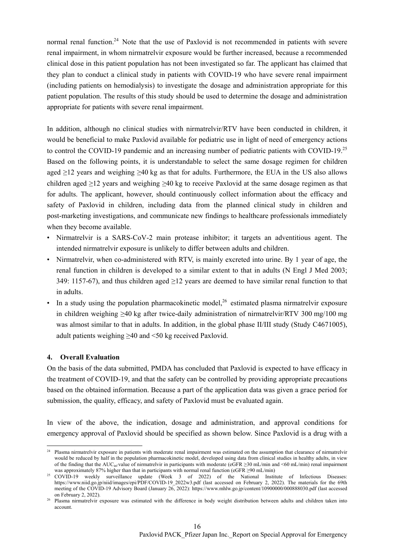normal renal function.<sup>24</sup> Note that the use of Paxlovid is not recommended in patients with severe renal impairment, in whom nirmatrelvir exposure would be further increased, because a recommended clinical dose in this patient population has not been investigated so far. The applicant has claimed that they plan to conduct a clinical study in patients with COVID-19 who have severe renal impairment (including patients on hemodialysis) to investigate the dosage and administration appropriate for this patient population. The results of this study should be used to determine the dosage and administration appropriate for patients with severe renal impairment.

In addition, although no clinical studies with nirmatrelvir/RTV have been conducted in children, it would be beneficial to make Paxlovid available for pediatric use in light of need of emergency actions to control the COVID-19 pandemic and an increasing number of pediatric patients with COVID-19.25 Based on the following points, it is understandable to select the same dosage regimen for children aged  $\geq$ 12 years and weighing  $\geq$ 40 kg as that for adults. Furthermore, the EUA in the US also allows children aged  $\geq$ 12 years and weighing  $\geq$ 40 kg to receive Paxlovid at the same dosage regimen as that for adults. The applicant, however, should continuously collect information about the efficacy and safety of Paxlovid in children, including data from the planned clinical study in children and post-marketing investigations, and communicate new findings to healthcare professionals immediately when they become available.

- Nirmatrelvir is a SARS-CoV-2 main protease inhibitor; it targets an adventitious agent. The intended nirmatrelvir exposure is unlikely to differ between adults and children.
- Nirmatrelvir, when co-administered with RTV, is mainly excreted into urine. By 1 year of age, the renal function in children is developed to a similar extent to that in adults (N Engl J Med 2003; 349: 1157-67), and thus children aged ≥12 years are deemed to have similar renal function to that in adults.
- In a study using the population pharmacokinetic model,<sup>26</sup> estimated plasma nirmatrelvir exposure in children weighing  $\geq 40$  kg after twice-daily administration of nirmatrelvir/RTV 300 mg/100 mg was almost similar to that in adults. In addition, in the global phase II/III study (Study C4671005), adult patients weighing ≥40 and <50 kg received Paxlovid.

#### **4. Overall Evaluation**

On the basis of the data submitted, PMDA has concluded that Paxlovid is expected to have efficacy in the treatment of COVID-19, and that the safety can be controlled by providing appropriate precautions based on the obtained information. Because a part of the application data was given a grace period for submission, the quality, efficacy, and safety of Paxlovid must be evaluated again.

In view of the above, the indication, dosage and administration, and approval conditions for emergency approval of Paxlovid should be specified as shown below. Since Paxlovid is a drug with a

l  $24$  Plasma nirmatrelvir exposure in patients with moderate renal impairment was estimated on the assumption that clearance of nirmatrelvir would be reduced by half in the population pharmacokinetic model, developed using data from clinical studies in healthy adults, in view of the finding that the AUC<sub>inf</sub> value of nirmatrelvir in participants with moderate (eGFR  $\geq$ 30 mL/min and <60 mL/min) renal impairment was approximately 87% higher than that in participants with normal renal function

<sup>25</sup> COVID-19 weekly surveillance update (Week 3 of 2022) of the National Institute of Infectious Diseases: https://www.niid.go.jp/niid/images/epi/PDF/COVID-19\_2022w3.pdf (last accessed on February 2, 2022). The materials for the 69th meeting of the COVID-19 Advisory Board (January 26, 2022): https://www.mhlw.go.jp/content/10900000/000888030.pdf (last accessed<br>on February 2, 2022).

<sup>&</sup>lt;sup>26</sup> Plasma nirmatrelvir exposure was estimated with the difference in body weight distribution between adults and children taken into account.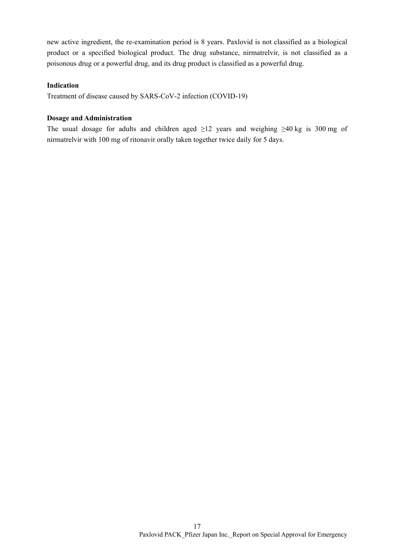new active ingredient, the re-examination period is 8 years. Paxlovid is not classified as a biological product or a specified biological product. The drug substance, nirmatrelvir, is not classified as a poisonous drug or a powerful drug, and its drug product is classified as a powerful drug.

## **Indication**

Treatment of disease caused by SARS-CoV-2 infection (COVID-19)

## **Dosage and Administration**

The usual dosage for adults and children aged  $\geq$ 12 years and weighing  $\geq$ 40 kg is 300 mg of nirmatrelvir with 100 mg of ritonavir orally taken together twice daily for 5 days.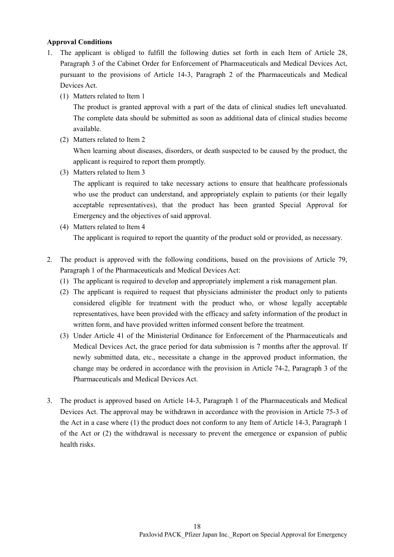## **Approval Conditions**

- 1. The applicant is obliged to fulfill the following duties set forth in each Item of Article 28, Paragraph 3 of the Cabinet Order for Enforcement of Pharmaceuticals and Medical Devices Act, pursuant to the provisions of Article 14-3, Paragraph 2 of the Pharmaceuticals and Medical Devices Act.
	- (1) Matters related to Item 1

The product is granted approval with a part of the data of clinical studies left unevaluated. The complete data should be submitted as soon as additional data of clinical studies become available.

(2) Matters related to Item 2

When learning about diseases, disorders, or death suspected to be caused by the product, the applicant is required to report them promptly.

(3) Matters related to Item 3

The applicant is required to take necessary actions to ensure that healthcare professionals who use the product can understand, and appropriately explain to patients (or their legally acceptable representatives), that the product has been granted Special Approval for Emergency and the objectives of said approval.

- (4) Matters related to Item 4 The applicant is required to report the quantity of the product sold or provided, as necessary.
- 2. The product is approved with the following conditions, based on the provisions of Article 79, Paragraph 1 of the Pharmaceuticals and Medical Devices Act:
	- (1) The applicant is required to develop and appropriately implement a risk management plan.
	- (2) The applicant is required to request that physicians administer the product only to patients considered eligible for treatment with the product who, or whose legally acceptable representatives, have been provided with the efficacy and safety information of the product in written form, and have provided written informed consent before the treatment.
	- (3) Under Article 41 of the Ministerial Ordinance for Enforcement of the Pharmaceuticals and Medical Devices Act, the grace period for data submission is 7 months after the approval. If newly submitted data, etc., necessitate a change in the approved product information, the change may be ordered in accordance with the provision in Article 74-2, Paragraph 3 of the Pharmaceuticals and Medical Devices Act.
- 3. The product is approved based on Article 14-3, Paragraph 1 of the Pharmaceuticals and Medical Devices Act. The approval may be withdrawn in accordance with the provision in Article 75-3 of the Act in a case where (1) the product does not conform to any Item of Article 14-3, Paragraph 1 of the Act or (2) the withdrawal is necessary to prevent the emergence or expansion of public health risks.